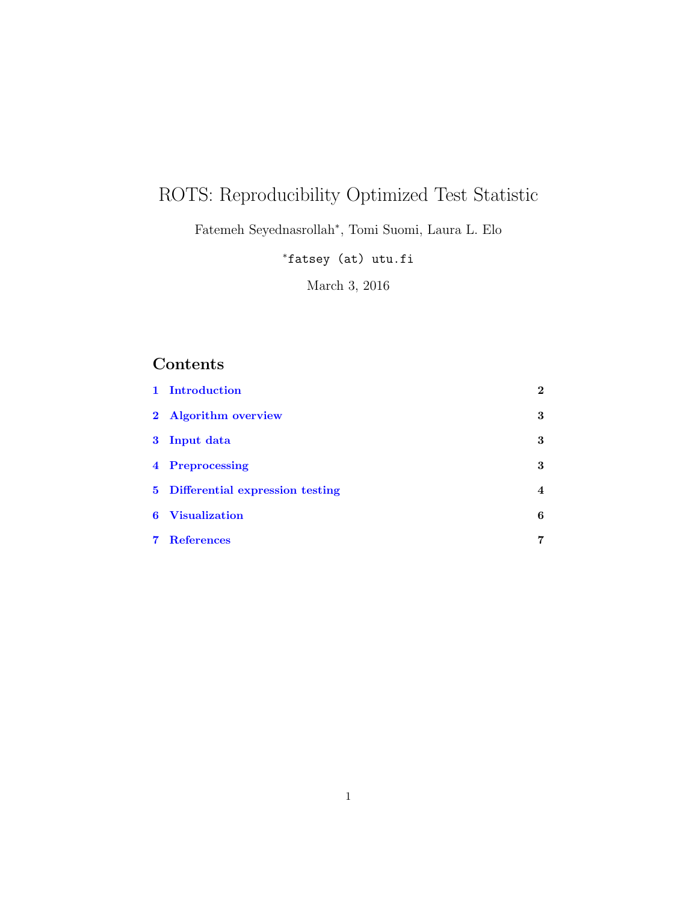# ROTS: Reproducibility Optimized Test Statistic

Fatemeh Seyednasrollah<sup>∗</sup> , Tomi Suomi, Laura L. Elo

<sup>∗</sup>fatsey (at) utu.fi

March 3, 2016

## Contents

| 1 Introduction                    | $\bf{2}$       |
|-----------------------------------|----------------|
| 2 Algorithm overview              | 3              |
| 3 Input data                      | 3              |
| 4 Preprocessing                   | 3              |
| 5 Differential expression testing | $\overline{4}$ |
| <b>6</b> Visualization            | 6              |
| <b>7</b> References               | 7              |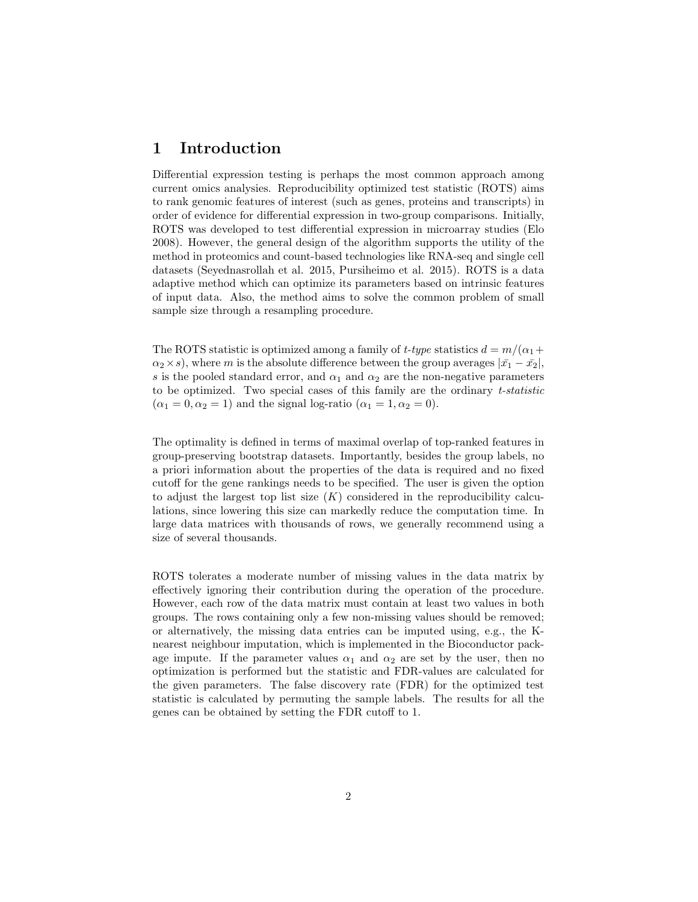#### <span id="page-1-0"></span>1 Introduction

Differential expression testing is perhaps the most common approach among current omics analysies. Reproducibility optimized test statistic (ROTS) aims to rank genomic features of interest (such as genes, proteins and transcripts) in order of evidence for differential expression in two-group comparisons. Initially, ROTS was developed to test differential expression in microarray studies (Elo 2008). However, the general design of the algorithm supports the utility of the method in proteomics and count-based technologies like RNA-seq and single cell datasets (Seyednasrollah et al. 2015, Pursiheimo et al. 2015). ROTS is a data adaptive method which can optimize its parameters based on intrinsic features of input data. Also, the method aims to solve the common problem of small sample size through a resampling procedure.

The ROTS statistic is optimized among a family of t-type statistics  $d = m/(\alpha_1 +$  $\alpha_2 \times s$ , where m is the absolute difference between the group averages  $|\bar{x_1} - \bar{x_2}|$ , s is the pooled standard error, and  $\alpha_1$  and  $\alpha_2$  are the non-negative parameters to be optimized. Two special cases of this family are the ordinary t-statistic  $(\alpha_1 = 0, \alpha_2 = 1)$  and the signal log-ratio  $(\alpha_1 = 1, \alpha_2 = 0)$ .

The optimality is defined in terms of maximal overlap of top-ranked features in group-preserving bootstrap datasets. Importantly, besides the group labels, no a priori information about the properties of the data is required and no fixed cutoff for the gene rankings needs to be specified. The user is given the option to adjust the largest top list size  $(K)$  considered in the reproducibility calculations, since lowering this size can markedly reduce the computation time. In large data matrices with thousands of rows, we generally recommend using a size of several thousands.

ROTS tolerates a moderate number of missing values in the data matrix by effectively ignoring their contribution during the operation of the procedure. However, each row of the data matrix must contain at least two values in both groups. The rows containing only a few non-missing values should be removed; or alternatively, the missing data entries can be imputed using, e.g., the Knearest neighbour imputation, which is implemented in the Bioconductor package impute. If the parameter values  $\alpha_1$  and  $\alpha_2$  are set by the user, then no optimization is performed but the statistic and FDR-values are calculated for the given parameters. The false discovery rate (FDR) for the optimized test statistic is calculated by permuting the sample labels. The results for all the genes can be obtained by setting the FDR cutoff to 1.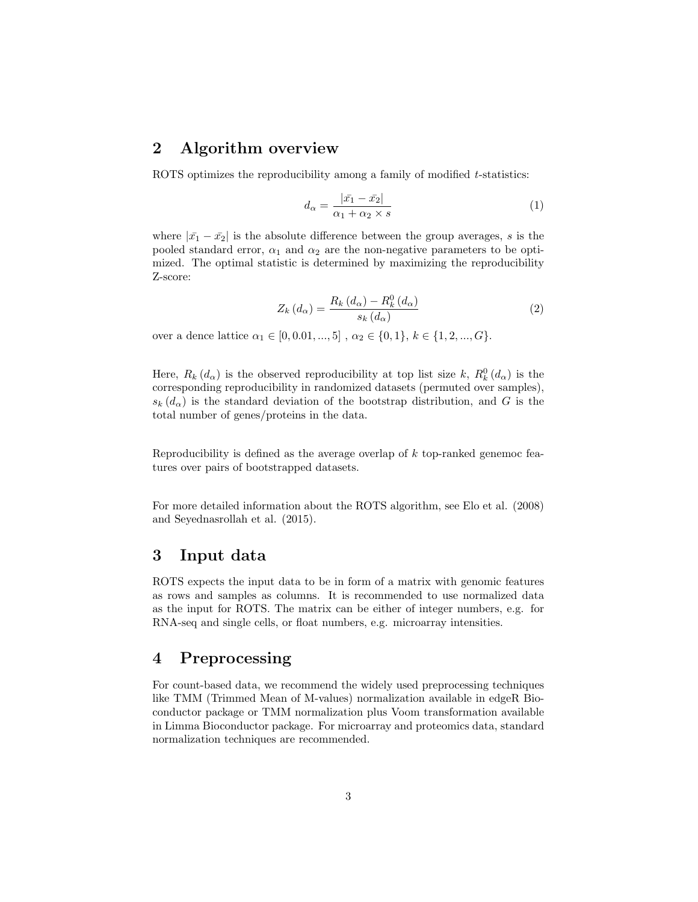#### <span id="page-2-0"></span>2 Algorithm overview

ROTS optimizes the reproducibility among a family of modified t-statistics:

$$
d_{\alpha} = \frac{|\bar{x_1} - \bar{x_2}|}{\alpha_1 + \alpha_2 \times s} \tag{1}
$$

where  $|\bar{x}_1 - \bar{x}_2|$  is the absolute difference between the group averages, s is the pooled standard error,  $\alpha_1$  and  $\alpha_2$  are the non-negative parameters to be optimized. The optimal statistic is determined by maximizing the reproducibility Z-score:

$$
Z_{k}\left(d_{\alpha}\right) = \frac{R_{k}\left(d_{\alpha}\right) - R_{k}^{0}\left(d_{\alpha}\right)}{s_{k}\left(d_{\alpha}\right)}\tag{2}
$$

over a dence lattice  $\alpha_1 \in [0, 0.01, ..., 5]$ ,  $\alpha_2 \in \{0, 1\}$ ,  $k \in \{1, 2, ..., G\}$ .

Here,  $R_k(d_\alpha)$  is the observed reproducibility at top list size k,  $R_k^0(d_\alpha)$  is the corresponding reproducibility in randomized datasets (permuted over samples),  $s_k(d_\alpha)$  is the standard deviation of the bootstrap distribution, and G is the total number of genes/proteins in the data.

Reproducibility is defined as the average overlap of k top-ranked genemoc features over pairs of bootstrapped datasets.

For more detailed information about the ROTS algorithm, see Elo et al. (2008) and Seyednasrollah et al. (2015).

#### <span id="page-2-1"></span>3 Input data

ROTS expects the input data to be in form of a matrix with genomic features as rows and samples as columns. It is recommended to use normalized data as the input for ROTS. The matrix can be either of integer numbers, e.g. for RNA-seq and single cells, or float numbers, e.g. microarray intensities.

#### <span id="page-2-2"></span>4 Preprocessing

For count-based data, we recommend the widely used preprocessing techniques like TMM (Trimmed Mean of M-values) normalization available in edgeR Bioconductor package or TMM normalization plus Voom transformation available in Limma Bioconductor package. For microarray and proteomics data, standard normalization techniques are recommended.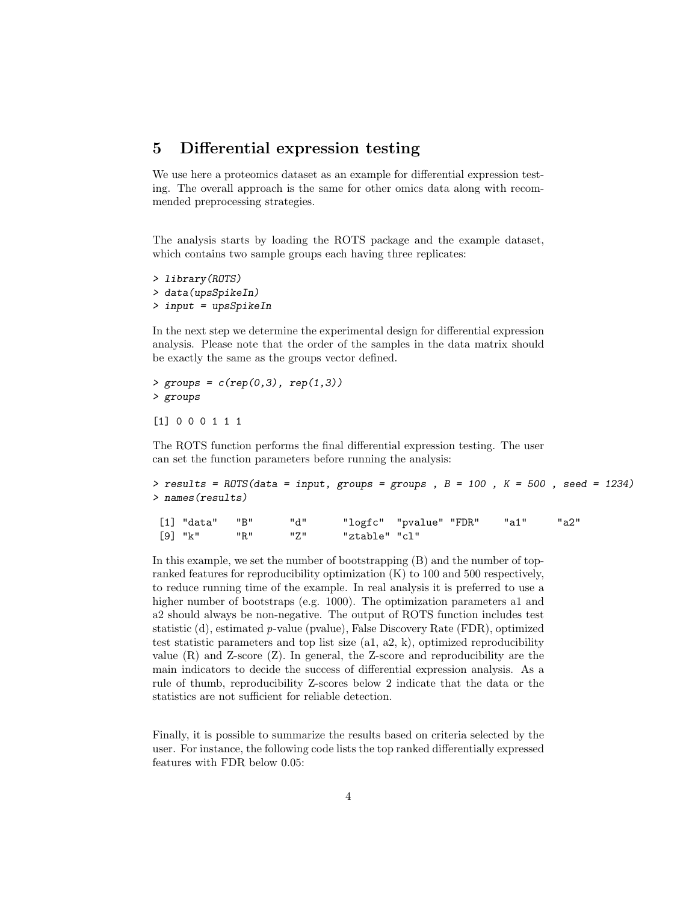#### <span id="page-3-0"></span>5 Differential expression testing

We use here a proteomics dataset as an example for differential expression testing. The overall approach is the same for other omics data along with recommended preprocessing strategies.

The analysis starts by loading the ROTS package and the example dataset, which contains two sample groups each having three replicates:

```
> library(ROTS)
> data(upsSpikeIn)
> input = upsSpikeIn
```
In the next step we determine the experimental design for differential expression analysis. Please note that the order of the samples in the data matrix should be exactly the same as the groups vector defined.

 $>$  groups =  $c(rep(0,3), rep(1,3))$ > groups

```
[1] 0 0 0 1 1 1
```
The ROTS function performs the final differential expression testing. The user can set the function parameters before running the analysis:

```
> results = ROTS(data = input, groups = groups, B = 100, K = 500, seed = 1234)
> names(results)
```
[1] "data" "B" "d" "logfc" "pvalue" "FDR" "a1" "a2" [9] "k" "R" "Z" "ztable" "cl"

In this example, we set the number of bootstrapping (B) and the number of topranked features for reproducibility optimization (K) to 100 and 500 respectively, to reduce running time of the example. In real analysis it is preferred to use a higher number of bootstraps (e.g. 1000). The optimization parameters a1 and a2 should always be non-negative. The output of ROTS function includes test statistic (d), estimated p-value (pvalue), False Discovery Rate (FDR), optimized test statistic parameters and top list size (a1, a2, k), optimized reproducibility value (R) and Z-score (Z). In general, the Z-score and reproducibility are the main indicators to decide the success of differential expression analysis. As a rule of thumb, reproducibility Z-scores below 2 indicate that the data or the statistics are not sufficient for reliable detection.

Finally, it is possible to summarize the results based on criteria selected by the user. For instance, the following code lists the top ranked differentially expressed features with FDR below 0.05: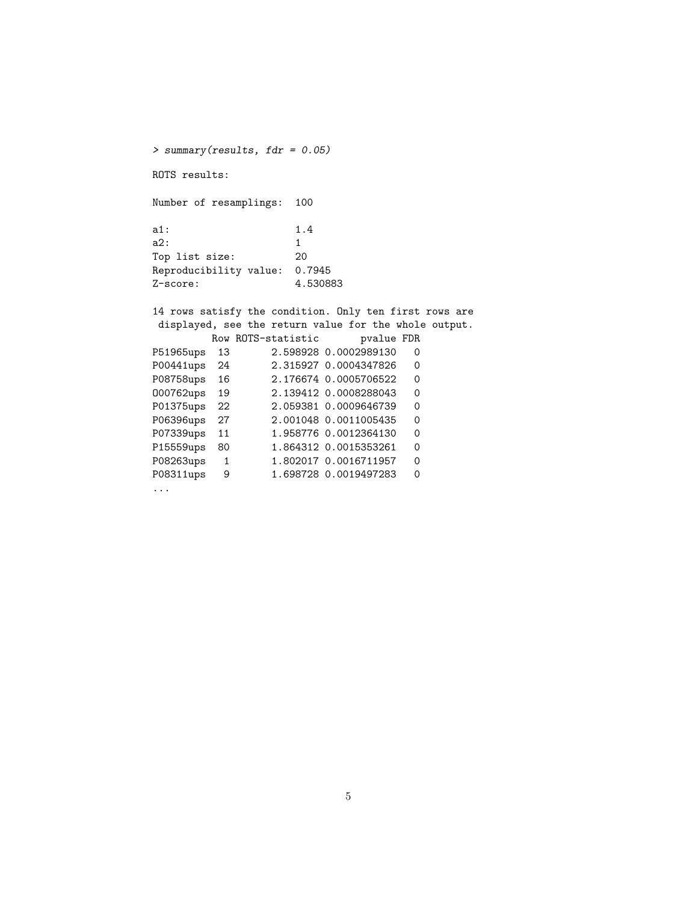> summary(results, fdr = 0.05) ROTS results: Number of resamplings: 100 a1: 1.4 a2: 1 Top list size: 20 Reproducibility value: 0.7945<br>Z-score: 4.5308 Z-score: 4.530883 14 rows satisfy the condition. Only ten first rows are displayed, see the return value for the whole output. Row ROTS-statistic pvalue FDR P51965ups 13 2.598928 0.0002989130 0<br>P00441ups 24 2.315927 0.0004347826 0 2.315927 0.0004347826 0 P08758ups 16 2.176674 0.0005706522 0 O00762ups 19 2.139412 0.0008288043 0 P01375ups 22 2.059381 0.0009646739 0<br>P06396ups 27 2.001048 0.0011005435 0 P06396ups 27 2.001048 0.0011005435 0 P07339ups 11 1.958776 0.0012364130 0 P15559ups 80 1.864312 0.0015353261 0 P08263ups 1 1.802017 0.0016711957 0 P08311ups 9 1.698728 0.0019497283 0

...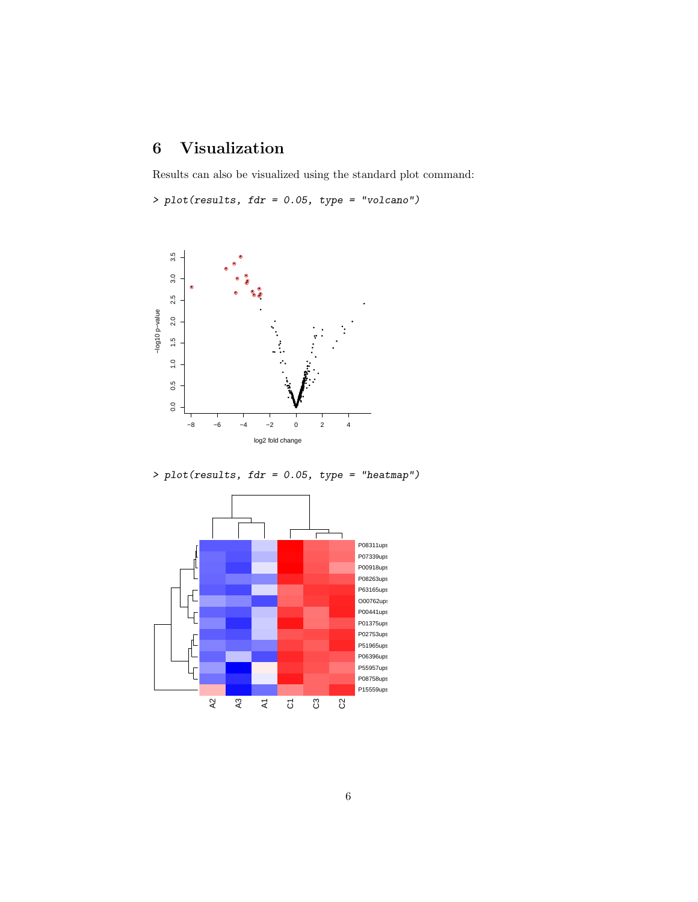## <span id="page-5-0"></span>6 Visualization

Results can also be visualized using the standard plot command:

> plot(results, fdr = 0.05, type = "volcano")



> plot(results, fdr = 0.05, type = "heatmap")